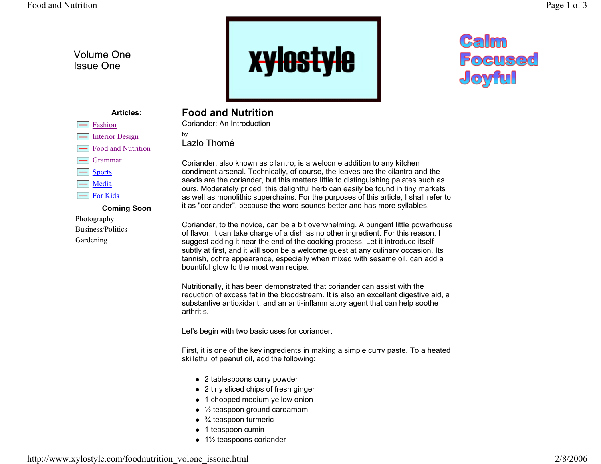## Volume One Issue One

Fashion  $\boxed{\phantom{1}}$  Interior Design

> Grammar**Sports** Media For Kids

Photography Business/Politics Gardening



## Calm Focused Joyful

## **Articles:**

Food and Nutrition

**Coming Soon**

## **Food and Nutrition**

Coriander: An Introduction

by Lazlo Thomé

Coriander, also known as cilantro, is a welcome addition to any kitchen condiment arsenal. Technically, of course, the leaves are the cilantro and the seeds are the coriander, but this matters little to distinguishing palates such as ours. Moderately priced, this delightful herb can easily be found in tiny markets as well as monolithic superchains. For the purposes of this article, I shall refer to it as "coriander", because the word sounds better and has more syllables.

Coriander, to the novice, can be a bit overwhelming. A pungent little powerhouse of flavor, it can take charge of a dish as no other ingredient. For this reason, I suggest adding it near the end of the cooking process. Let it introduce itself subtly at first, and it will soon be a welcome guest at any culinary occasion. Its tannish, ochre appearance, especially when mixed with sesame oil, can add a bountiful glow to the most wan recipe.

Nutritionally, it has been demonstrated that coriander can assist with the reduction of excess fat in the bloodstream. It is also an excellent digestive aid, a substantive antioxidant, and an anti-inflammatory agent that can help soothe arthritis.

Let's begin with two basic uses for coriander.

First, it is one of the key ingredients in making a simple curry paste. To a heated skilletful of peanut oil, add the following:

- 2 tablespoons curry powder
- 2 tiny sliced chips of fresh ginger
- 1 chopped medium yellow onion
- $\frac{1}{2}$  teaspoon ground cardamom
- $\bullet$   $\frac{3}{4}$  teaspoon turmeric
- 1 teaspoon cumin
- $\bullet$  1½ teaspoons coriander